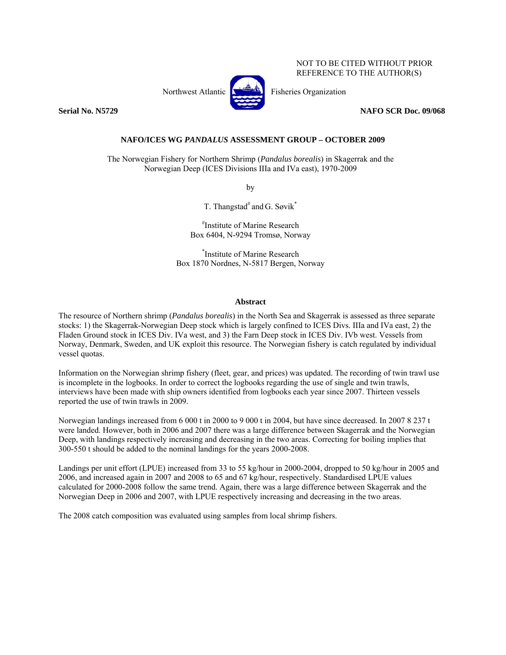Northwest Atlantic **No. 1989** Fisheries Organization



REFERENCE TO THE AUTHOR(S)

NOT TO BE CITED WITHOUT PRIOR

**Serial No. N5729 NAFO SCR Doc. 09/068** 

**NAFO/ICES WG** *PANDALUS* **ASSESSMENT GROUP – OCTOBER 2009** 

The Norwegian Fishery for Northern Shrimp (*Pandalus borealis*) in Skagerrak and the Norwegian Deep (ICES Divisions IIIa and IVa east), 1970-2009

by

T. Thangstad<sup>#</sup> and G. Søvik<sup>\*</sup>

# Institute of Marine Research Box 6404, N-9294 Tromsø, Norway

\* Institute of Marine Research Box 1870 Nordnes, N-5817 Bergen, Norway

# **Abstract**

The resource of Northern shrimp (*Pandalus borealis*) in the North Sea and Skagerrak is assessed as three separate stocks: 1) the Skagerrak-Norwegian Deep stock which is largely confined to ICES Divs. IIIa and IVa east, 2) the Fladen Ground stock in ICES Div. IVa west, and 3) the Farn Deep stock in ICES Div. IVb west. Vessels from Norway, Denmark, Sweden, and UK exploit this resource. The Norwegian fishery is catch regulated by individual vessel quotas.

Information on the Norwegian shrimp fishery (fleet, gear, and prices) was updated. The recording of twin trawl use is incomplete in the logbooks. In order to correct the logbooks regarding the use of single and twin trawls, interviews have been made with ship owners identified from logbooks each year since 2007. Thirteen vessels reported the use of twin trawls in 2009.

Norwegian landings increased from 6 000 t in 2000 to 9 000 t in 2004, but have since decreased. In 2007 8 237 t were landed. However, both in 2006 and 2007 there was a large difference between Skagerrak and the Norwegian Deep, with landings respectively increasing and decreasing in the two areas. Correcting for boiling implies that 300-550 t should be added to the nominal landings for the years 2000-2008.

Landings per unit effort (LPUE) increased from 33 to 55 kg/hour in 2000-2004, dropped to 50 kg/hour in 2005 and 2006, and increased again in 2007 and 2008 to 65 and 67 kg/hour, respectively. Standardised LPUE values calculated for 2000-2008 follow the same trend. Again, there was a large difference between Skagerrak and the Norwegian Deep in 2006 and 2007, with LPUE respectively increasing and decreasing in the two areas.

The 2008 catch composition was evaluated using samples from local shrimp fishers.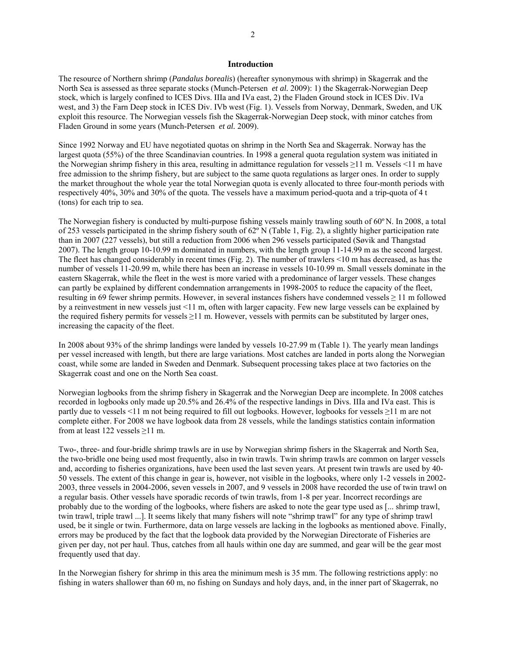## **Introduction**

The resource of Northern shrimp (*Pandalus borealis*) (hereafter synonymous with shrimp) in Skagerrak and the North Sea is assessed as three separate stocks (Munch-Petersen *et al.* 2009): 1) the Skagerrak-Norwegian Deep stock, which is largely confined to ICES Divs. IIIa and IVa east, 2) the Fladen Ground stock in ICES Div. IVa west, and 3) the Farn Deep stock in ICES Div. IVb west (Fig. 1). Vessels from Norway, Denmark, Sweden, and UK exploit this resource. The Norwegian vessels fish the Skagerrak-Norwegian Deep stock, with minor catches from Fladen Ground in some years (Munch-Petersen *et al.* 2009).

Since 1992 Norway and EU have negotiated quotas on shrimp in the North Sea and Skagerrak. Norway has the largest quota (55%) of the three Scandinavian countries. In 1998 a general quota regulation system was initiated in the Norwegian shrimp fishery in this area, resulting in admittance regulation for vessels ≥11 m. Vessels <11 m have free admission to the shrimp fishery, but are subject to the same quota regulations as larger ones. In order to supply the market throughout the whole year the total Norwegian quota is evenly allocated to three four-month periods with respectively 40%, 30% and 30% of the quota. The vessels have a maximum period-quota and a trip-quota of 4 t (tons) for each trip to sea.

The Norwegian fishery is conducted by multi-purpose fishing vessels mainly trawling south of 60º N. In 2008, a total of 253 vessels participated in the shrimp fishery south of 62º N (Table 1, Fig. 2), a slightly higher participation rate than in 2007 (227 vessels), but still a reduction from 2006 when 296 vessels participated (Søvik and Thangstad 2007). The length group 10-10.99 m dominated in numbers, with the length group 11-14.99 m as the second largest. The fleet has changed considerably in recent times (Fig. 2). The number of trawlers <10 m has decreased, as has the number of vessels 11-20.99 m, while there has been an increase in vessels 10-10.99 m. Small vessels dominate in the eastern Skagerrak, while the fleet in the west is more varied with a predominance of larger vessels. These changes can partly be explained by different condemnation arrangements in 1998-2005 to reduce the capacity of the fleet, resulting in 69 fewer shrimp permits. However, in several instances fishers have condemned vessels  $\geq 11$  m followed by a reinvestment in new vessels just <11 m, often with larger capacity. Few new large vessels can be explained by the required fishery permits for vessels  $\geq 11$  m. However, vessels with permits can be substituted by larger ones, increasing the capacity of the fleet.

In 2008 about 93% of the shrimp landings were landed by vessels 10-27.99 m (Table 1). The yearly mean landings per vessel increased with length, but there are large variations. Most catches are landed in ports along the Norwegian coast, while some are landed in Sweden and Denmark. Subsequent processing takes place at two factories on the Skagerrak coast and one on the North Sea coast.

Norwegian logbooks from the shrimp fishery in Skagerrak and the Norwegian Deep are incomplete. In 2008 catches recorded in logbooks only made up 20.5% and 26.4% of the respective landings in Divs. IIIa and IVa east. This is partly due to vessels <11 m not being required to fill out logbooks. However, logbooks for vessels ≥11 m are not complete either. For 2008 we have logbook data from 28 vessels, while the landings statistics contain information from at least 122 vessels ≥11 m.

Two-, three- and four-bridle shrimp trawls are in use by Norwegian shrimp fishers in the Skagerrak and North Sea, the two-bridle one being used most frequently, also in twin trawls. Twin shrimp trawls are common on larger vessels and, according to fisheries organizations, have been used the last seven years. At present twin trawls are used by 40- 50 vessels. The extent of this change in gear is, however, not visible in the logbooks, where only 1-2 vessels in 2002- 2003, three vessels in 2004-2006, seven vessels in 2007, and 9 vessels in 2008 have recorded the use of twin trawl on a regular basis. Other vessels have sporadic records of twin trawls, from 1-8 per year. Incorrect recordings are probably due to the wording of the logbooks, where fishers are asked to note the gear type used as [... shrimp trawl, twin trawl, triple trawl ...]. It seems likely that many fishers will note "shrimp trawl" for any type of shrimp trawl used, be it single or twin. Furthermore, data on large vessels are lacking in the logbooks as mentioned above. Finally, errors may be produced by the fact that the logbook data provided by the Norwegian Directorate of Fisheries are given per day, not per haul. Thus, catches from all hauls within one day are summed, and gear will be the gear most frequently used that day.

In the Norwegian fishery for shrimp in this area the minimum mesh is 35 mm. The following restrictions apply: no fishing in waters shallower than 60 m, no fishing on Sundays and holy days, and, in the inner part of Skagerrak, no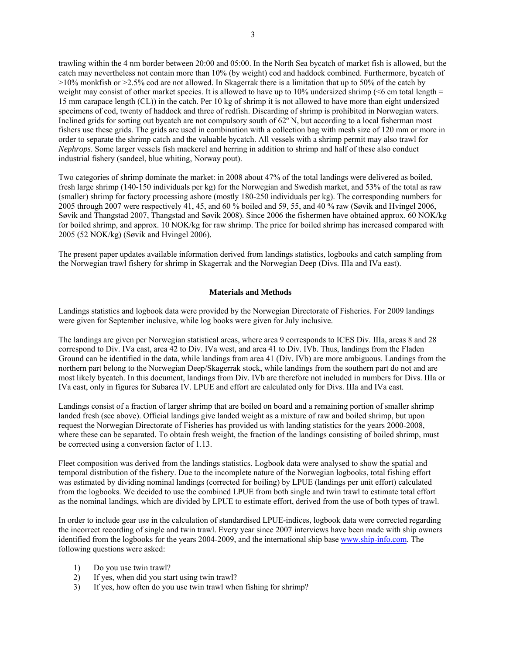trawling within the 4 nm border between 20:00 and 05:00. In the North Sea bycatch of market fish is allowed, but the catch may nevertheless not contain more than 10% (by weight) cod and haddock combined. Furthermore, bycatch of >10% monkfish or >2.5% cod are not allowed. In Skagerrak there is a limitation that up to 50% of the catch by weight may consist of other market species. It is allowed to have up to  $10\%$  undersized shrimp ( $\leq 6$  cm total length = 15 mm carapace length (CL)) in the catch. Per 10 kg of shrimp it is not allowed to have more than eight undersized specimens of cod, twenty of haddock and three of redfish. Discarding of shrimp is prohibited in Norwegian waters. Inclined grids for sorting out bycatch are not compulsory south of 62º N, but according to a local fisherman most fishers use these grids. The grids are used in combination with a collection bag with mesh size of 120 mm or more in order to separate the shrimp catch and the valuable bycatch. All vessels with a shrimp permit may also trawl for *Nephrops*. Some larger vessels fish mackerel and herring in addition to shrimp and half of these also conduct industrial fishery (sandeel, blue whiting, Norway pout).

Two categories of shrimp dominate the market: in 2008 about 47% of the total landings were delivered as boiled, fresh large shrimp (140-150 individuals per kg) for the Norwegian and Swedish market, and 53% of the total as raw (smaller) shrimp for factory processing ashore (mostly 180-250 individuals per kg). The corresponding numbers for 2005 through 2007 were respectively 41, 45, and 60 % boiled and 59, 55, and 40 % raw (Søvik and Hvingel 2006, Søvik and Thangstad 2007, Thangstad and Søvik 2008). Since 2006 the fishermen have obtained approx. 60 NOK/kg for boiled shrimp, and approx. 10 NOK/kg for raw shrimp. The price for boiled shrimp has increased compared with 2005 (52 NOK/kg) (Søvik and Hvingel 2006).

The present paper updates available information derived from landings statistics, logbooks and catch sampling from the Norwegian trawl fishery for shrimp in Skagerrak and the Norwegian Deep (Divs. IIIa and IVa east).

## **Materials and Methods**

Landings statistics and logbook data were provided by the Norwegian Directorate of Fisheries. For 2009 landings were given for September inclusive, while log books were given for July inclusive.

The landings are given per Norwegian statistical areas, where area 9 corresponds to ICES Div. IIIa, areas 8 and 28 correspond to Div. IVa east, area 42 to Div. IVa west, and area 41 to Div. IVb. Thus, landings from the Fladen Ground can be identified in the data, while landings from area 41 (Div. IVb) are more ambiguous. Landings from the northern part belong to the Norwegian Deep/Skagerrak stock, while landings from the southern part do not and are most likely bycatch. In this document, landings from Div. IVb are therefore not included in numbers for Divs. IIIa or IVa east, only in figures for Subarea IV. LPUE and effort are calculated only for Divs. IIIa and IVa east.

Landings consist of a fraction of larger shrimp that are boiled on board and a remaining portion of smaller shrimp landed fresh (see above). Official landings give landed weight as a mixture of raw and boiled shrimp, but upon request the Norwegian Directorate of Fisheries has provided us with landing statistics for the years 2000-2008, where these can be separated. To obtain fresh weight, the fraction of the landings consisting of boiled shrimp, must be corrected using a conversion factor of 1.13.

Fleet composition was derived from the landings statistics. Logbook data were analysed to show the spatial and temporal distribution of the fishery. Due to the incomplete nature of the Norwegian logbooks, total fishing effort was estimated by dividing nominal landings (corrected for boiling) by LPUE (landings per unit effort) calculated from the logbooks. We decided to use the combined LPUE from both single and twin trawl to estimate total effort as the nominal landings, which are divided by LPUE to estimate effort, derived from the use of both types of trawl.

In order to include gear use in the calculation of standardised LPUE-indices, logbook data were corrected regarding the incorrect recording of single and twin trawl. Every year since 2007 interviews have been made with ship owners identified from the logbooks for the years 2004-2009, and the international ship base www.ship-info.com. The following questions were asked:

- 1) Do you use twin trawl?
- 2) If yes, when did you start using twin trawl?
- 3) If yes, how often do you use twin trawl when fishing for shrimp?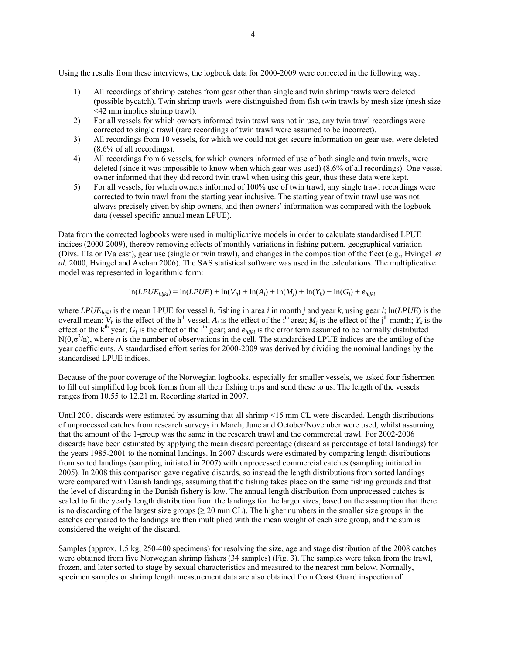Using the results from these interviews, the logbook data for 2000-2009 were corrected in the following way:

- 1) All recordings of shrimp catches from gear other than single and twin shrimp trawls were deleted (possible bycatch). Twin shrimp trawls were distinguished from fish twin trawls by mesh size (mesh size <42 mm implies shrimp trawl).
- 2) For all vessels for which owners informed twin trawl was not in use, any twin trawl recordings were corrected to single trawl (rare recordings of twin trawl were assumed to be incorrect).
- 3) All recordings from 10 vessels, for which we could not get secure information on gear use, were deleted (8.6% of all recordings).
- 4) All recordings from 6 vessels, for which owners informed of use of both single and twin trawls, were deleted (since it was impossible to know when which gear was used) (8.6% of all recordings). One vessel owner informed that they did record twin trawl when using this gear, thus these data were kept.
- 5) For all vessels, for which owners informed of 100% use of twin trawl, any single trawl recordings were corrected to twin trawl from the starting year inclusive. The starting year of twin trawl use was not always precisely given by ship owners, and then owners' information was compared with the logbook data (vessel specific annual mean LPUE).

Data from the corrected logbooks were used in multiplicative models in order to calculate standardised LPUE indices (2000-2009), thereby removing effects of monthly variations in fishing pattern, geographical variation (Divs. IIIa or IVa east), gear use (single or twin trawl), and changes in the composition of the fleet (e.g., Hvingel *et al.* 2000, Hvingel and Aschan 2006). The SAS statistical software was used in the calculations. The multiplicative model was represented in logarithmic form:

$$
\ln(LPUE_{hijkl}) = \ln(LPUE) + \ln(V_h) + \ln(A_i) + \ln(M_j) + \ln(Y_k) + \ln(G_l) + e_{hijkl}
$$

where *LPUEhijkl* is the mean LPUE for vessel *h*, fishing in area *i* in month *j* and year *k*, using gear *l*; ln(*LPUE*) is the overall mean;  $V_h$  is the effect of the h<sup>th</sup> vessel;  $A_i$  is the effect of the i<sup>th</sup> area;  $M_i$  is the effect of the j<sup>th</sup> month;  $Y_k$  is the effect of the k<sup>th</sup> year;  $G_l$  is the effect of the l<sup>th</sup> gear; and  $e_{hikl}$  is the error term assumed to be normally distributed  $N(0, \sigma^2/n)$ , where *n* is the number of observations in the cell. The standardised LPUE indices are the antilog of the year coefficients. A standardised effort series for 2000-2009 was derived by dividing the nominal landings by the standardised LPUE indices.

Because of the poor coverage of the Norwegian logbooks, especially for smaller vessels, we asked four fishermen to fill out simplified log book forms from all their fishing trips and send these to us. The length of the vessels ranges from 10.55 to 12.21 m. Recording started in 2007.

Until 2001 discards were estimated by assuming that all shrimp <15 mm CL were discarded. Length distributions of unprocessed catches from research surveys in March, June and October/November were used, whilst assuming that the amount of the 1-group was the same in the research trawl and the commercial trawl. For 2002-2006 discards have been estimated by applying the mean discard percentage (discard as percentage of total landings) for the years 1985-2001 to the nominal landings. In 2007 discards were estimated by comparing length distributions from sorted landings (sampling initiated in 2007) with unprocessed commercial catches (sampling initiated in 2005). In 2008 this comparison gave negative discards, so instead the length distributions from sorted landings were compared with Danish landings, assuming that the fishing takes place on the same fishing grounds and that the level of discarding in the Danish fishery is low. The annual length distribution from unprocessed catches is scaled to fit the yearly length distribution from the landings for the larger sizes, based on the assumption that there is no discarding of the largest size groups ( $\geq$  20 mm CL). The higher numbers in the smaller size groups in the catches compared to the landings are then multiplied with the mean weight of each size group, and the sum is considered the weight of the discard.

Samples (approx. 1.5 kg, 250-400 specimens) for resolving the size, age and stage distribution of the 2008 catches were obtained from five Norwegian shrimp fishers (34 samples) (Fig. 3). The samples were taken from the trawl, frozen, and later sorted to stage by sexual characteristics and measured to the nearest mm below. Normally, specimen samples or shrimp length measurement data are also obtained from Coast Guard inspection of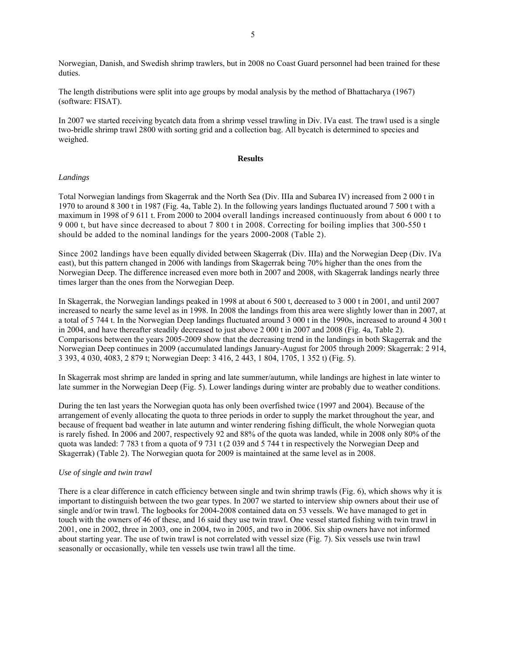Norwegian, Danish, and Swedish shrimp trawlers, but in 2008 no Coast Guard personnel had been trained for these duties.

The length distributions were split into age groups by modal analysis by the method of Bhattacharya (1967) (software: FISAT).

In 2007 we started receiving bycatch data from a shrimp vessel trawling in Div. IVa east. The trawl used is a single two-bridle shrimp trawl 2800 with sorting grid and a collection bag. All bycatch is determined to species and weighed.

## **Results**

## *Landings*

Total Norwegian landings from Skagerrak and the North Sea (Div. IIIa and Subarea IV) increased from 2 000 t in 1970 to around 8 300 t in 1987 (Fig. 4a, Table 2). In the following years landings fluctuated around 7 500 t with a maximum in 1998 of 9 611 t. From 2000 to 2004 overall landings increased continuously from about 6 000 t to 9 000 t, but have since decreased to about 7 800 t in 2008. Correcting for boiling implies that 300-550 t should be added to the nominal landings for the years 2000-2008 (Table 2).

Since 2002 landings have been equally divided between Skagerrak (Div. IIIa) and the Norwegian Deep (Div. IVa east), but this pattern changed in 2006 with landings from Skagerrak being 70% higher than the ones from the Norwegian Deep. The difference increased even more both in 2007 and 2008, with Skagerrak landings nearly three times larger than the ones from the Norwegian Deep.

In Skagerrak, the Norwegian landings peaked in 1998 at about 6 500 t, decreased to 3 000 t in 2001, and until 2007 increased to nearly the same level as in 1998. In 2008 the landings from this area were slightly lower than in 2007, at a total of 5 744 t. In the Norwegian Deep landings fluctuated around 3 000 t in the 1990s, increased to around 4 300 t in 2004, and have thereafter steadily decreased to just above 2 000 t in 2007 and 2008 (Fig. 4a, Table 2). Comparisons between the years 2005-2009 show that the decreasing trend in the landings in both Skagerrak and the Norwegian Deep continues in 2009 (accumulated landings January-August for 2005 through 2009: Skagerrak: 2 914, 3 393, 4 030, 4083, 2 879 t; Norwegian Deep: 3 416, 2 443, 1 804, 1705, 1 352 t) (Fig. 5).

In Skagerrak most shrimp are landed in spring and late summer/autumn, while landings are highest in late winter to late summer in the Norwegian Deep (Fig. 5). Lower landings during winter are probably due to weather conditions.

During the ten last years the Norwegian quota has only been overfished twice (1997 and 2004). Because of the arrangement of evenly allocating the quota to three periods in order to supply the market throughout the year, and because of frequent bad weather in late autumn and winter rendering fishing difficult, the whole Norwegian quota is rarely fished. In 2006 and 2007, respectively 92 and 88% of the quota was landed, while in 2008 only 80% of the quota was landed: 7 783 t from a quota of 9 731 t (2 039 and 5 744 t in respectively the Norwegian Deep and Skagerrak) (Table 2). The Norwegian quota for 2009 is maintained at the same level as in 2008.

## *Use of single and twin trawl*

There is a clear difference in catch efficiency between single and twin shrimp trawls (Fig. 6), which shows why it is important to distinguish between the two gear types. In 2007 we started to interview ship owners about their use of single and/or twin trawl. The logbooks for 2004-2008 contained data on 53 vessels. We have managed to get in touch with the owners of 46 of these, and 16 said they use twin trawl. One vessel started fishing with twin trawl in 2001, one in 2002, three in 2003, one in 2004, two in 2005, and two in 2006. Six ship owners have not informed about starting year. The use of twin trawl is not correlated with vessel size (Fig. 7). Six vessels use twin trawl seasonally or occasionally, while ten vessels use twin trawl all the time.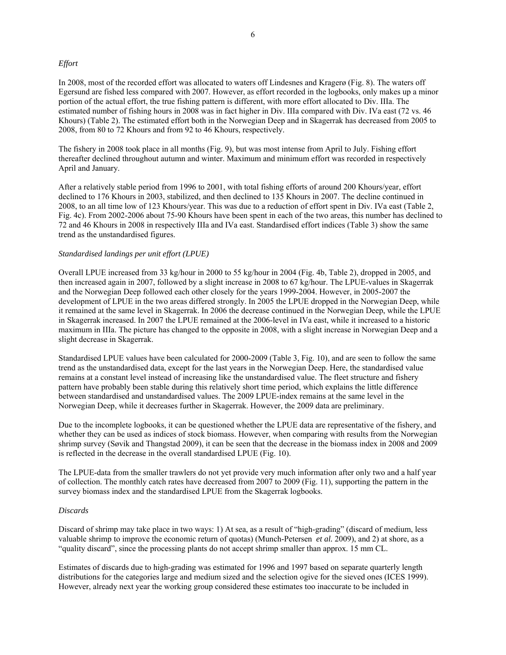## *Effort*

In 2008, most of the recorded effort was allocated to waters off Lindesnes and Kragerø (Fig. 8). The waters off Egersund are fished less compared with 2007. However, as effort recorded in the logbooks, only makes up a minor portion of the actual effort, the true fishing pattern is different, with more effort allocated to Div. IIIa. The estimated number of fishing hours in 2008 was in fact higher in Div. IIIa compared with Div. IVa east (72 vs. 46 Khours) (Table 2). The estimated effort both in the Norwegian Deep and in Skagerrak has decreased from 2005 to 2008, from 80 to 72 Khours and from 92 to 46 Khours, respectively.

The fishery in 2008 took place in all months (Fig. 9), but was most intense from April to July. Fishing effort thereafter declined throughout autumn and winter. Maximum and minimum effort was recorded in respectively April and January.

After a relatively stable period from 1996 to 2001, with total fishing efforts of around 200 Khours/year, effort declined to 176 Khours in 2003, stabilized, and then declined to 135 Khours in 2007. The decline continued in 2008, to an all time low of 123 Khours/year. This was due to a reduction of effort spent in Div. IVa east (Table 2, Fig. 4c). From 2002-2006 about 75-90 Khours have been spent in each of the two areas, this number has declined to 72 and 46 Khours in 2008 in respectively IIIa and IVa east. Standardised effort indices (Table 3) show the same trend as the unstandardised figures.

## *Standardised landings per unit effort (LPUE)*

Overall LPUE increased from 33 kg/hour in 2000 to 55 kg/hour in 2004 (Fig. 4b, Table 2), dropped in 2005, and then increased again in 2007, followed by a slight increase in 2008 to 67 kg/hour. The LPUE-values in Skagerrak and the Norwegian Deep followed each other closely for the years 1999-2004. However, in 2005-2007 the development of LPUE in the two areas differed strongly. In 2005 the LPUE dropped in the Norwegian Deep, while it remained at the same level in Skagerrak. In 2006 the decrease continued in the Norwegian Deep, while the LPUE in Skagerrak increased. In 2007 the LPUE remained at the 2006-level in IVa east, while it increased to a historic maximum in IIIa. The picture has changed to the opposite in 2008, with a slight increase in Norwegian Deep and a slight decrease in Skagerrak.

Standardised LPUE values have been calculated for 2000-2009 (Table 3, Fig. 10), and are seen to follow the same trend as the unstandardised data, except for the last years in the Norwegian Deep. Here, the standardised value remains at a constant level instead of increasing like the unstandardised value. The fleet structure and fishery pattern have probably been stable during this relatively short time period, which explains the little difference between standardised and unstandardised values. The 2009 LPUE-index remains at the same level in the Norwegian Deep, while it decreases further in Skagerrak. However, the 2009 data are preliminary.

Due to the incomplete logbooks, it can be questioned whether the LPUE data are representative of the fishery, and whether they can be used as indices of stock biomass. However, when comparing with results from the Norwegian shrimp survey (Søvik and Thangstad 2009), it can be seen that the decrease in the biomass index in 2008 and 2009 is reflected in the decrease in the overall standardised LPUE (Fig. 10).

The LPUE-data from the smaller trawlers do not yet provide very much information after only two and a half year of collection. The monthly catch rates have decreased from 2007 to 2009 (Fig. 11), supporting the pattern in the survey biomass index and the standardised LPUE from the Skagerrak logbooks.

#### *Discards*

Discard of shrimp may take place in two ways: 1) At sea, as a result of "high-grading" (discard of medium, less valuable shrimp to improve the economic return of quotas) (Munch-Petersen *et al.* 2009), and 2) at shore, as a "quality discard", since the processing plants do not accept shrimp smaller than approx. 15 mm CL.

Estimates of discards due to high-grading was estimated for 1996 and 1997 based on separate quarterly length distributions for the categories large and medium sized and the selection ogive for the sieved ones (ICES 1999). However, already next year the working group considered these estimates too inaccurate to be included in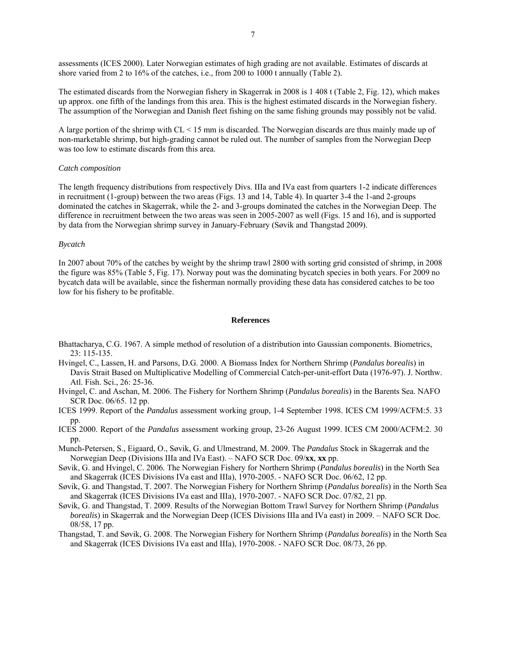assessments (ICES 2000). Later Norwegian estimates of high grading are not available. Estimates of discards at shore varied from 2 to 16% of the catches, i.e., from 200 to 1000 t annually (Table 2).

The estimated discards from the Norwegian fishery in Skagerrak in 2008 is 1 408 t (Table 2, Fig. 12), which makes up approx. one fifth of the landings from this area. This is the highest estimated discards in the Norwegian fishery. The assumption of the Norwegian and Danish fleet fishing on the same fishing grounds may possibly not be valid.

A large portion of the shrimp with CL < 15 mm is discarded. The Norwegian discards are thus mainly made up of non-marketable shrimp, but high-grading cannot be ruled out. The number of samples from the Norwegian Deep was too low to estimate discards from this area.

#### *Catch composition*

The length frequency distributions from respectively Divs. IIIa and IVa east from quarters 1-2 indicate differences in recruitment (1-group) between the two areas (Figs. 13 and 14, Table 4). In quarter 3-4 the 1-and 2-groups dominated the catches in Skagerrak, while the 2- and 3-groups dominated the catches in the Norwegian Deep. The difference in recruitment between the two areas was seen in 2005-2007 as well (Figs. 15 and 16), and is supported by data from the Norwegian shrimp survey in January-February (Søvik and Thangstad 2009).

## *Bycatch*

In 2007 about 70% of the catches by weight by the shrimp trawl 2800 with sorting grid consisted of shrimp, in 2008 the figure was 85% (Table 5, Fig. 17). Norway pout was the dominating bycatch species in both years. For 2009 no bycatch data will be available, since the fisherman normally providing these data has considered catches to be too low for his fishery to be profitable.

## **References**

- Bhattacharya, C.G. 1967. A simple method of resolution of a distribution into Gaussian components. Biometrics, 23: 115-135.
- Hvingel, C., Lassen, H. and Parsons, D.G. 2000. A Biomass Index for Northern Shrimp (*Pandalus borealis*) in Davis Strait Based on Multiplicative Modelling of Commercial Catch-per-unit-effort Data (1976-97). J. Northw. Atl. Fish. Sci., 26: 25-36.
- Hvingel, C. and Aschan, M. 2006. The Fishery for Northern Shrimp (*Pandalus borealis*) in the Barents Sea. NAFO SCR Doc. 06/65. 12 pp.
- ICES 1999. Report of the *Pandalus* assessment working group, 1-4 September 1998. ICES CM 1999/ACFM:5. 33 pp.
- ICES 2000. Report of the *Pandalus* assessment working group, 23-26 August 1999. ICES CM 2000/ACFM:2. 30 pp.
- Munch-Petersen, S., Eigaard, O., Søvik, G. and Ulmestrand, M. 2009. The *Pandalus* Stock in Skagerrak and the Norwegian Deep (Divisions IIIa and IVa East). – NAFO SCR Doc. 09/**xx**, **xx** pp.
- Søvik, G. and Hvingel, C. 2006. The Norwegian Fishery for Northern Shrimp (*Pandalus borealis*) in the North Sea and Skagerrak (ICES Divisions IVa east and IIIa), 1970-2005. - NAFO SCR Doc. 06/62, 12 pp.
- Søvik, G. and Thangstad, T. 2007. The Norwegian Fishery for Northern Shrimp (*Pandalus borealis*) in the North Sea and Skagerrak (ICES Divisions IVa east and IIIa), 1970-2007. - NAFO SCR Doc. 07/82, 21 pp.
- Søvik, G. and Thangstad, T. 2009. Results of the Norwegian Bottom Trawl Survey for Northern Shrimp (*Pandalus borealis*) in Skagerrak and the Norwegian Deep (ICES Divisions IIIa and IVa east) in 2009. – NAFO SCR Doc. 08/58, 17 pp.
- Thangstad, T. and Søvik, G. 2008. The Norwegian Fishery for Northern Shrimp (*Pandalus borealis*) in the North Sea and Skagerrak (ICES Divisions IVa east and IIIa), 1970-2008. - NAFO SCR Doc. 08/73, 26 pp.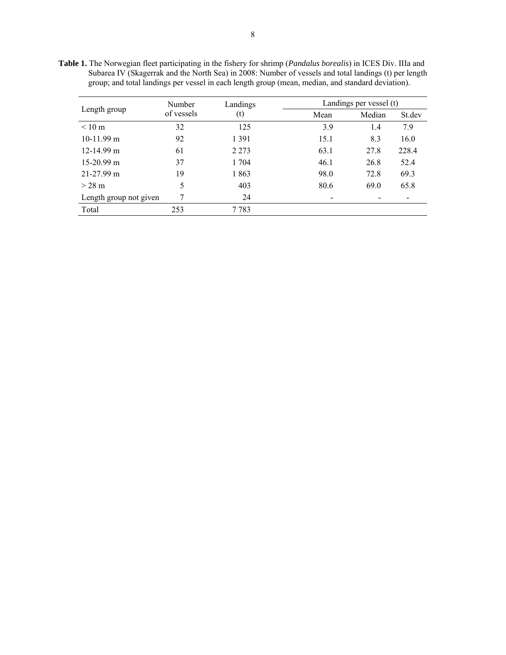**Table 1.** The Norwegian fleet participating in the fishery for shrimp (*Pandalus borealis*) in ICES Div. IIIa and Subarea IV (Skagerrak and the North Sea) in 2008: Number of vessels and total landings (t) per length group; and total landings per vessel in each length group (mean, median, and standard deviation).

|                        | Number     | Landings | Landings per vessel (t) |        |                          |  |  |
|------------------------|------------|----------|-------------------------|--------|--------------------------|--|--|
| Length group           | of vessels | (t)      | Mean                    | Median | St.dev                   |  |  |
| $< 10 \text{ m}$       | 32         | 125      | 3.9                     | 1.4    | 7.9                      |  |  |
| $10-11.99$ m           | 92         | 1 3 9 1  | 15.1                    | 8.3    | 16.0                     |  |  |
| $12-14.99$ m           | 61         | 2 2 7 3  | 63.1                    | 27.8   | 228.4                    |  |  |
| $15-20.99$ m           | 37         | 1 704    | 46.1                    | 26.8   | 52.4                     |  |  |
| $21-27.99$ m           | 19         | 1863     | 98.0                    | 72.8   | 69.3                     |  |  |
| $> 28$ m               | 5          | 403      | 80.6                    | 69.0   | 65.8                     |  |  |
| Length group not given | 7          | 24       |                         |        | $\overline{\phantom{a}}$ |  |  |
| Total                  | 253        | 7783     |                         |        |                          |  |  |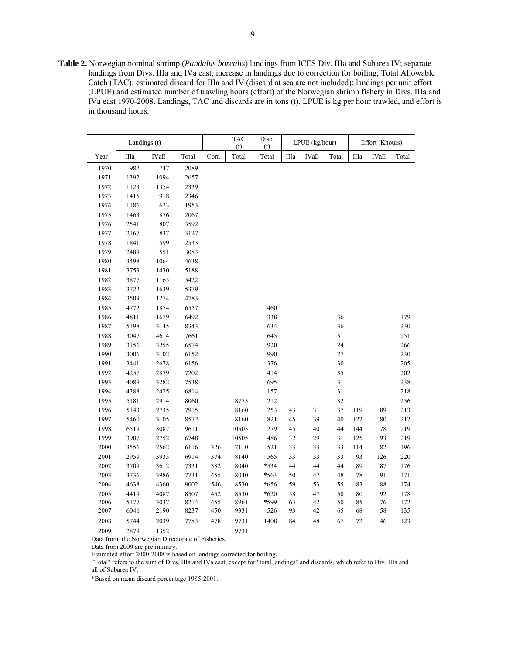**Table 2.** Norwegian nominal shrimp (*Pandalus borealis*) landings from ICES Div. IIIa and Subarea IV; separate landings from Divs. IIIa and IVa east; increase in landings due to correction for boiling; Total Allowable Catch (TAC); estimated discard for IIIa and IV (discard at sea are not included); landings per unit effort (LPUE) and estimated number of trawling hours (effort) of the Norwegian shrimp fishery in Divs. IIIa and IVa east 1970-2008. Landings, TAC and discards are in tons (t), LPUE is kg per hour trawled, and effort is in thousand hours.

|      | Landings (t) |             |       |       | <b>TAC</b><br>(t) | Disc.<br>(t) | LPUE (kg/hour) |             |       | Effort (Khours) |             |       |
|------|--------------|-------------|-------|-------|-------------------|--------------|----------------|-------------|-------|-----------------|-------------|-------|
| Year | IIIa         | <b>IVaE</b> | Total | Corr. | Total             | Total        | IIIa           | <b>IVaE</b> | Total | IIIa            | <b>IVaE</b> | Total |
| 1970 | 982          | 747         | 2089  |       |                   |              |                |             |       |                 |             |       |
| 1971 | 1392         | 1094        | 2657  |       |                   |              |                |             |       |                 |             |       |
| 1972 | 1123         | 1354        | 2339  |       |                   |              |                |             |       |                 |             |       |
| 1973 | 1415         | 918         | 2346  |       |                   |              |                |             |       |                 |             |       |
| 1974 | 1186         | 623         | 1953  |       |                   |              |                |             |       |                 |             |       |
| 1975 | 1463         | 876         | 2067  |       |                   |              |                |             |       |                 |             |       |
| 1976 | 2541         | 807         | 3592  |       |                   |              |                |             |       |                 |             |       |
| 1977 | 2167         | 837         | 3127  |       |                   |              |                |             |       |                 |             |       |
| 1978 | 1841         | 599         | 2533  |       |                   |              |                |             |       |                 |             |       |
| 1979 | 2489         | 551         | 3083  |       |                   |              |                |             |       |                 |             |       |
| 1980 | 3498         | 1064        | 4638  |       |                   |              |                |             |       |                 |             |       |
| 1981 | 3753         | 1430        | 5188  |       |                   |              |                |             |       |                 |             |       |
| 1982 | 3877         | 1165        | 5422  |       |                   |              |                |             |       |                 |             |       |
| 1983 | 3722         | 1639        | 5379  |       |                   |              |                |             |       |                 |             |       |
| 1984 | 3509         | 1274        | 4783  |       |                   |              |                |             |       |                 |             |       |
| 1985 | 4772         | 1874        | 6557  |       |                   | 460          |                |             |       |                 |             |       |
| 1986 | 4811         | 1679        | 6492  |       |                   | 338          |                |             | 36    |                 |             | 179   |
| 1987 | 5198         | 3145        | 8343  |       |                   | 634          |                |             | 36    |                 |             | 230   |
| 1988 | 3047         | 4614        | 7661  |       |                   | 645          |                |             | 31    |                 |             | 251   |
| 1989 | 3156         | 3255        | 6574  |       |                   | 920          |                |             | 24    |                 |             | 266   |
| 1990 | 3006         | 3102        | 6152  |       |                   | 990          |                |             | 27    |                 |             | 230   |
| 1991 | 3441         | 2678        | 6156  |       |                   | 376          |                |             | 30    |                 |             | 205   |
| 1992 | 4257         | 2879        | 7202  |       |                   | 414          |                |             | 35    |                 |             | 202   |
| 1993 | 4089         | 3282        | 7538  |       |                   | 695          |                |             | 31    |                 |             | 238   |
| 1994 | 4388         | 2425        | 6814  |       |                   | 157          |                |             | 31    |                 |             | 218   |
| 1995 | 5181         | 2914        | 8060  |       | 8775              | 212          |                |             | 32    |                 |             | 256   |
| 1996 | 5143         | 2735        | 7915  |       | 8160              | 253          | 43             | 31          | 37    | 119             | 89          | 213   |
| 1997 | 5460         | 3105        | 8572  |       | 8160              | 821          | 45             | 39          | 40    | 122             | 80          | 212   |
| 1998 | 6519         | 3087        | 9611  |       | 10505             | 279          | 45             | 40          | 44    | 144             | $78\,$      | 219   |
| 1999 | 3987         | 2752        | 6748  |       | 10505             | 486          | 32             | 29          | 31    | 125             | 93          | 219   |
| 2000 | 3556         | 2562        | 6116  | 326   | 7110              | 521          | 33             | 33          | 33    | 114             | 82          | 196   |
| 2001 | 2959         | 3933        | 6914  | 374   | 8140              | 565          | 33             | 33          | 33    | 93              | 126         | 220   |
| 2002 | 3709         | 3612        | 7331  | 382   | 8040              | *534         | 44             | 44          | 44    | 89              | 87          | 176   |
| 2003 | 3736         | 3986        | 7731  | 455   | 8040              | *563         | 50             | 47          | 48    | 78              | 91          | 171   |
| 2004 | 4638         | 4360        | 9002  | 546   | 8530              | *656         | 59             | 53          | 55    | 83              | 88          | 174   |
| 2005 | 4419         | 4087        | 8507  | 452   | 8530              | $*620$       | 58             | 47          | 50    | 80              | 92          | 178   |
| 2006 | 5177         | 3037        | 8214  | 455   | 8961              | *599         | 63             | 42          | 50    | 85              | 76          | 172   |
| 2007 | 6046         | 2190        | 8237  | 450   | 9331              | 526          | 93             | $42\,$      | 65    | 68              | 58          | 135   |
| 2008 | 5744         | 2039        | 7783  | 478   | 9731              | 1408         | 84             | 48          | 67    | 72              | 46          | 123   |
| 2009 | 2879         | 1352        |       |       | 9731              |              |                |             |       |                 |             |       |

Data from the Norwegian Directorate of Fisheries.

Data from 2009 are preliminary.

L.

Estimated effort 2000-2008 is based on landings corrected for boiling.

"Total" refers to the sum of Divs. IIIa and IVa east, except for "total landings" and discards, which refer to Div. IIIa and all of Subarea IV.

\*Based on mean discard percentage 1985-2001.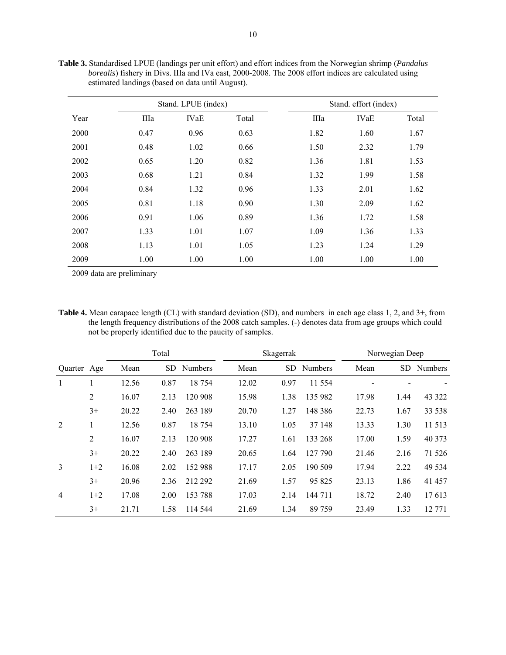|      |      | Stand. LPUE (index) |       |      | Stand. effort (index) |       |
|------|------|---------------------|-------|------|-----------------------|-------|
| Year | IIIa | <b>IVaE</b>         | Total | IIIa | <b>IVaE</b>           | Total |
| 2000 | 0.47 | 0.96                | 0.63  | 1.82 | 1.60                  | 1.67  |
| 2001 | 0.48 | 1.02                | 0.66  | 1.50 | 2.32                  | 1.79  |
| 2002 | 0.65 | 1.20                | 0.82  | 1.36 | 1.81                  | 1.53  |
| 2003 | 0.68 | 1.21                | 0.84  | 1.32 | 1.99                  | 1.58  |
| 2004 | 0.84 | 1.32                | 0.96  | 1.33 | 2.01                  | 1.62  |
| 2005 | 0.81 | 1.18                | 0.90  | 1.30 | 2.09                  | 1.62  |
| 2006 | 0.91 | 1.06                | 0.89  | 1.36 | 1.72                  | 1.58  |
| 2007 | 1.33 | 1.01                | 1.07  | 1.09 | 1.36                  | 1.33  |
| 2008 | 1.13 | 1.01                | 1.05  | 1.23 | 1.24                  | 1.29  |
| 2009 | 1.00 | 1.00                | 1.00  | 1.00 | 1.00                  | 1.00  |

**Table 3.** Standardised LPUE (landings per unit effort) and effort indices from the Norwegian shrimp (*Pandalus borealis*) fishery in Divs. IIIa and IVa east, 2000-2008. The 2008 effort indices are calculated using estimated landings (based on data until August).

2009 data are preliminary

**Table 4.** Mean carapace length (CL) with standard deviation (SD), and numbers in each age class 1, 2, and 3+, from the length frequency distributions of the 2008 catch samples. (-) denotes data from age groups which could not be properly identified due to the paucity of samples.

|                |                | Total |      | Skagerrak      |       |           | Norwegian Deep |       |      |                |
|----------------|----------------|-------|------|----------------|-------|-----------|----------------|-------|------|----------------|
| Quarter Age    |                | Mean  | SD.  | <b>Numbers</b> | Mean  | <b>SD</b> | <b>Numbers</b> | Mean  | SD.  | <b>Numbers</b> |
| $\mathbf{1}$   |                | 12.56 | 0.87 | 18754          | 12.02 | 0.97      | 11 5 5 4       |       |      |                |
|                | $\overline{2}$ | 16.07 | 2.13 | 120 908        | 15.98 | 1.38      | 135 982        | 17.98 | 1.44 | 43 322         |
|                | $3+$           | 20.22 | 2.40 | 263 189        | 20.70 | 1.27      | 148 386        | 22.73 | 1.67 | 33 538         |
| 2              | 1              | 12.56 | 0.87 | 18 7 54        | 13.10 | 1.05      | 37 148         | 13.33 | 1.30 | 11 513         |
|                | 2              | 16.07 | 2.13 | 120 908        | 17.27 | 1.61      | 133 268        | 17.00 | 1.59 | 40 373         |
|                | $3+$           | 20.22 | 2.40 | 263 189        | 20.65 | 1.64      | 127 790        | 21.46 | 2.16 | 71 526         |
| 3              | $1+2$          | 16.08 | 2.02 | 152 988        | 17.17 | 2.05      | 190 509        | 17.94 | 2.22 | 49 5 34        |
|                | $3+$           | 20.96 | 2.36 | 212 292        | 21.69 | 1.57      | 95 825         | 23.13 | 1.86 | 41 457         |
| $\overline{4}$ | $1+2$          | 17.08 | 2.00 | 153 788        | 17.03 | 2.14      | 144 711        | 18.72 | 2.40 | 17613          |
|                | $3+$           | 21.71 | 1.58 | 114 544        | 21.69 | 1.34      | 89 759         | 23.49 | 1.33 | 12 771         |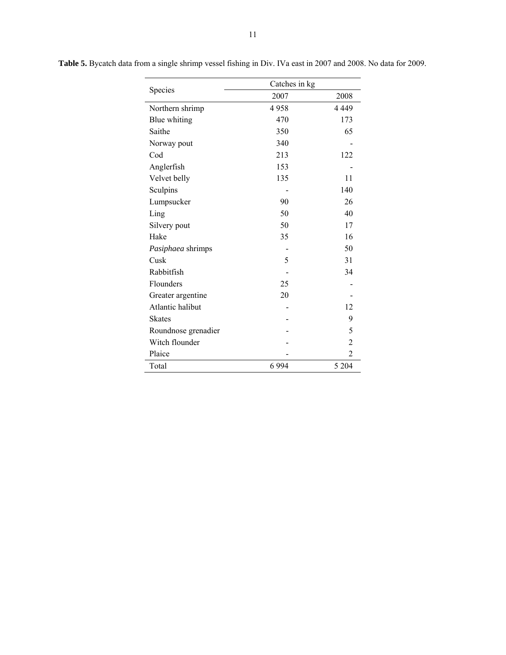|                     | Catches in kg |                |  |  |  |
|---------------------|---------------|----------------|--|--|--|
| Species             | 2007          | 2008           |  |  |  |
| Northern shrimp     | 4958          | 4 4 4 9        |  |  |  |
| Blue whiting        | 470           | 173            |  |  |  |
| Saithe              | 350           | 65             |  |  |  |
| Norway pout         | 340           |                |  |  |  |
| Cod                 | 213           | 122            |  |  |  |
| Anglerfish          | 153           |                |  |  |  |
| Velvet belly        | 135           | 11             |  |  |  |
| Sculpins            |               | 140            |  |  |  |
| Lumpsucker          | 90            | 26             |  |  |  |
| Ling                | 50            | 40             |  |  |  |
| Silvery pout        | 50            | 17             |  |  |  |
| Hake                | 35            | 16             |  |  |  |
| Pasiphaea shrimps   |               | 50             |  |  |  |
| Cusk                | 5             | 31             |  |  |  |
| Rabbitfish          |               | 34             |  |  |  |
| Flounders           | 25            |                |  |  |  |
| Greater argentine   | 20            |                |  |  |  |
| Atlantic halibut    |               | 12             |  |  |  |
| <b>Skates</b>       |               | 9              |  |  |  |
| Roundnose grenadier |               | 5              |  |  |  |
| Witch flounder      |               | 2              |  |  |  |
| Plaice              |               | $\overline{2}$ |  |  |  |
| Total               | 6 9 9 4       | 5 2 0 4        |  |  |  |

**Table 5.** Bycatch data from a single shrimp vessel fishing in Div. IVa east in 2007 and 2008. No data for 2009.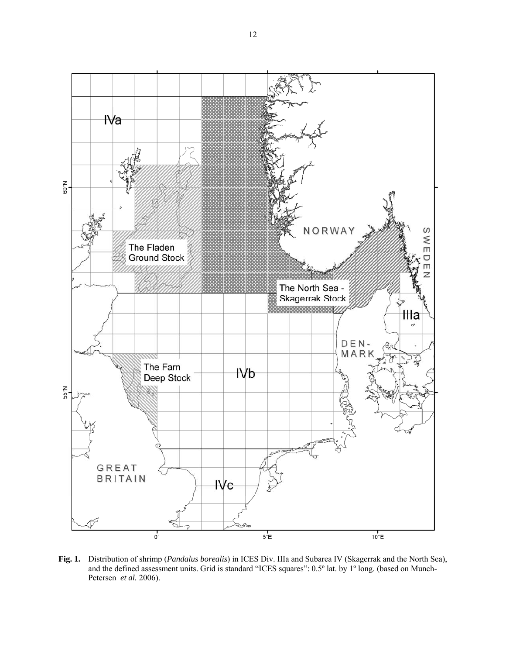

**Fig. 1.** Distribution of shrimp (*Pandalus borealis*) in ICES Div. IIIa and Subarea IV (Skagerrak and the North Sea), and the defined assessment units. Grid is standard "ICES squares": 0.5º lat. by 1º long. (based on Munch-Petersen *et al.* 2006).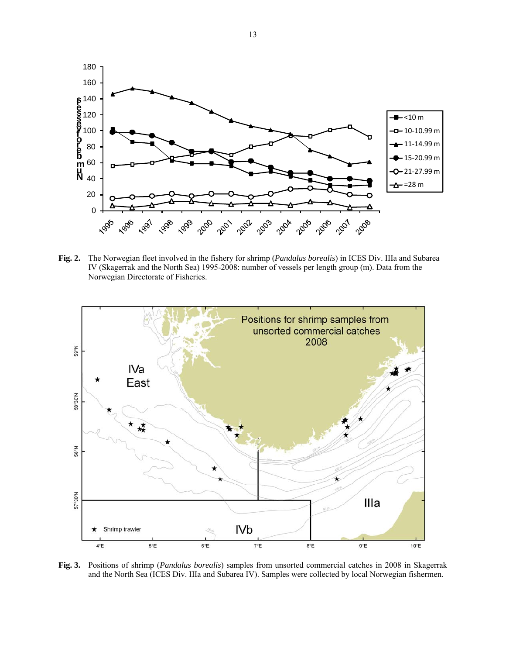

**Fig. 2.** The Norwegian fleet involved in the fishery for shrimp (*Pandalus borealis*) in ICES Div. IIIa and Subarea IV (Skagerrak and the North Sea) 1995-2008: number of vessels per length group (m). Data from the Norwegian Directorate of Fisheries.



**Fig. 3.** Positions of shrimp (*Pandalus borealis*) samples from unsorted commercial catches in 2008 in Skagerrak and the North Sea (ICES Div. IIIa and Subarea IV). Samples were collected by local Norwegian fishermen.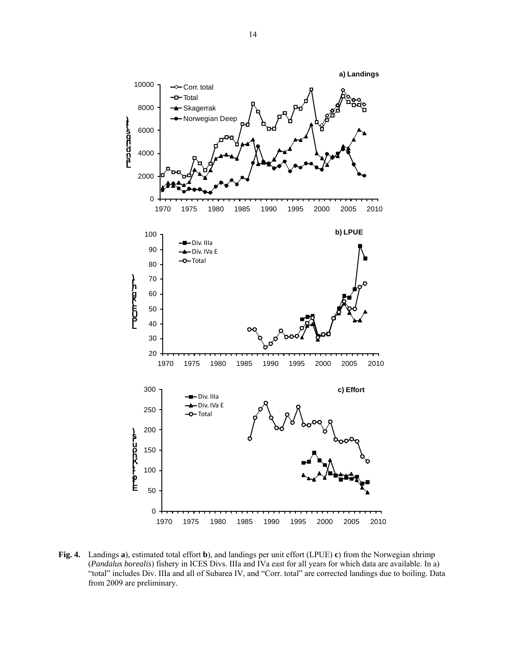

**Fig. 4.** Landings **a**), estimated total effort **b**), and landings per unit effort (LPUE) **c**) from the Norwegian shrimp (*Pandalus borealis*) fishery in ICES Divs. IIIa and IVa east for all years for which data are available. In a) "total" includes Div. IIIa and all of Subarea IV, and "Corr. total" are corrected landings due to boiling. Data from 2009 are preliminary.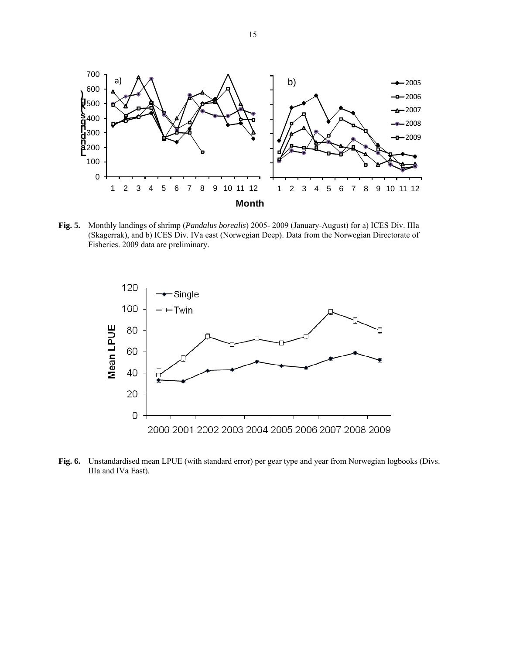

**Fig. 5.** Monthly landings of shrimp (*Pandalus borealis*) 2005- 2009 (January-August) for a) ICES Div. IIIa (Skagerrak), and b) ICES Div. IVa east (Norwegian Deep). Data from the Norwegian Directorate of Fisheries. 2009 data are preliminary.



**Fig. 6.** Unstandardised mean LPUE (with standard error) per gear type and year from Norwegian logbooks (Divs. IIIa and IVa East).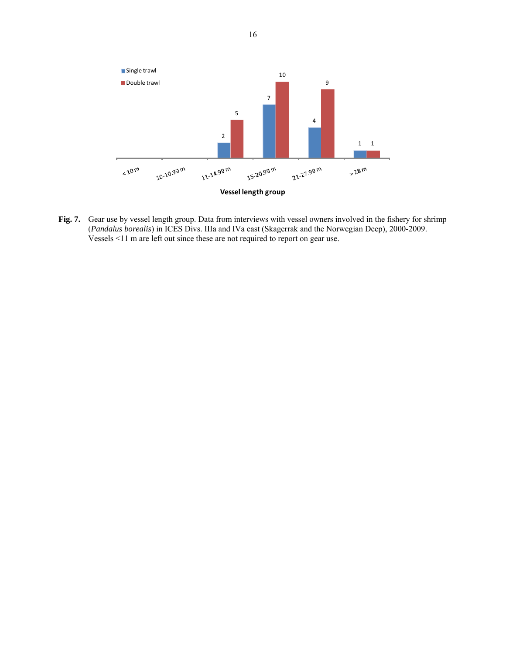

**Fig. 7.** Gear use by vessel length group. Data from interviews with vessel owners involved in the fishery for shrimp (*Pandalus borealis*) in ICES Divs. IIIa and IVa east (Skagerrak and the Norwegian Deep), 2000-2009. Vessels <11 m are left out since these are not required to report on gear use.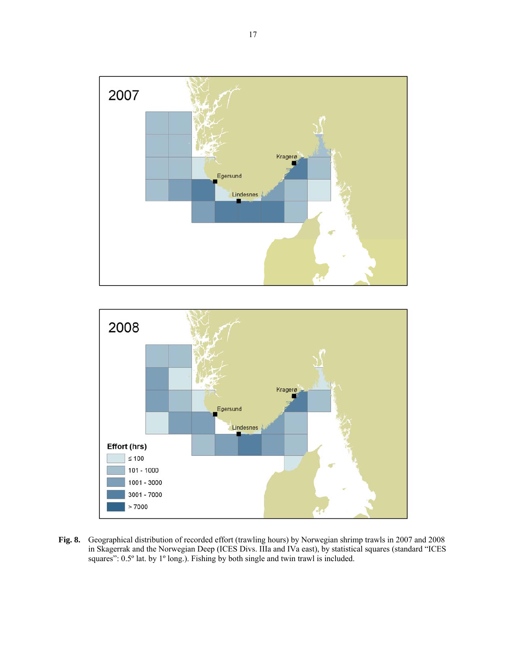



**Fig. 8.** Geographical distribution of recorded effort (trawling hours) by Norwegian shrimp trawls in 2007 and 2008 in Skagerrak and the Norwegian Deep (ICES Divs. IIIa and IVa east), by statistical squares (standard "ICES squares": 0.5° lat. by 1° long.). Fishing by both single and twin trawl is included.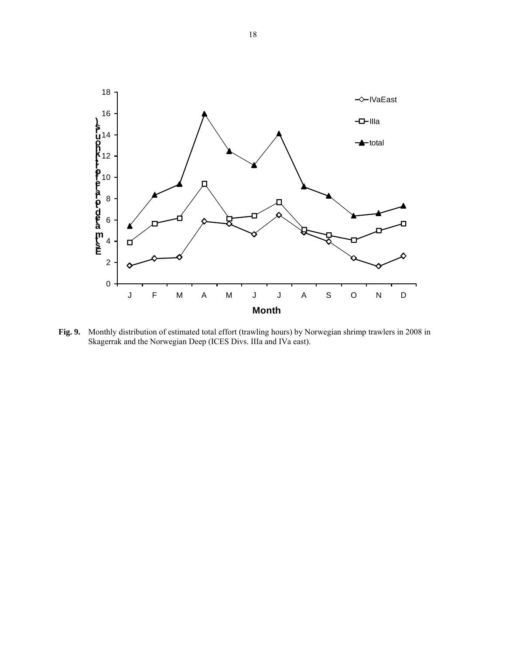

**Fig. 9.** Monthly distribution of estimated total effort (trawling hours) by Norwegian shrimp trawlers in 2008 in Skagerrak and the Norwegian Deep (ICES Divs. IIIa and IVa east).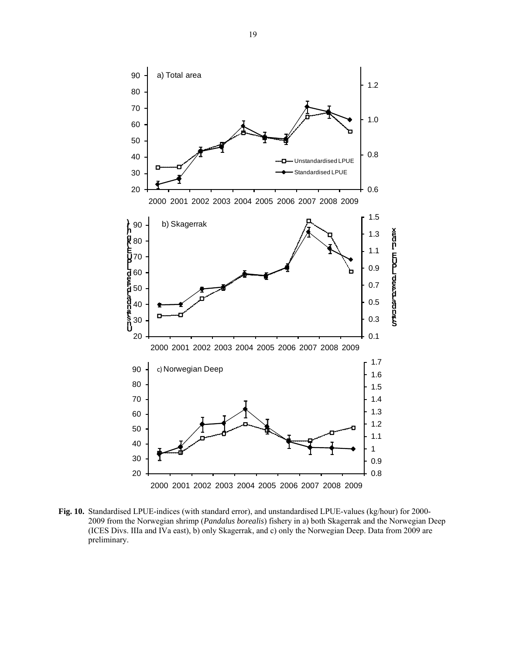

**Fig. 10.** Standardised LPUE-indices (with standard error), and unstandardised LPUE-values (kg/hour) for 2000- 2009 from the Norwegian shrimp (*Pandalus borealis*) fishery in a) both Skagerrak and the Norwegian Deep (ICES Divs. IIIa and IVa east), b) only Skagerrak, and c) only the Norwegian Deep. Data from 2009 are preliminary.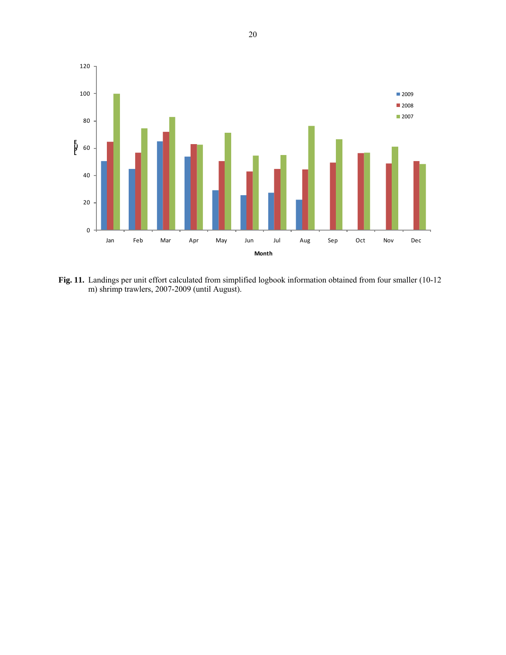

**Fig. 11.** Landings per unit effort calculated from simplified logbook information obtained from four smaller (10-12 m) shrimp trawlers, 2007-2009 (until August).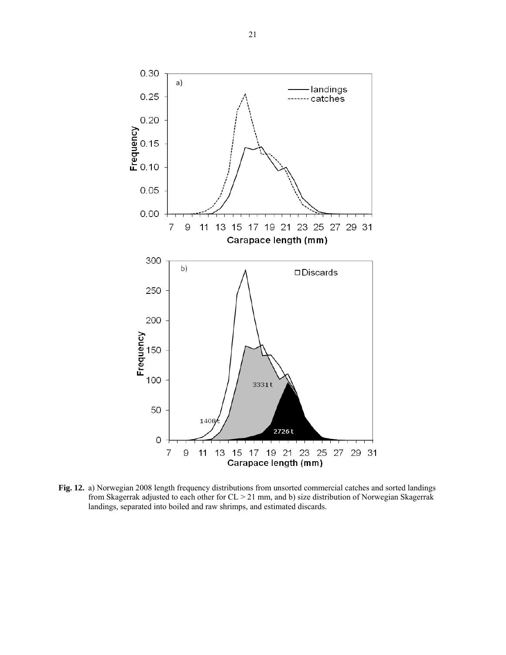![](_page_20_Figure_0.jpeg)

**Fig. 12.** a) Norwegian 2008 length frequency distributions from unsorted commercial catches and sorted landings from Skagerrak adjusted to each other for CL > 21 mm, and b) size distribution of Norwegian Skagerrak landings, separated into boiled and raw shrimps, and estimated discards.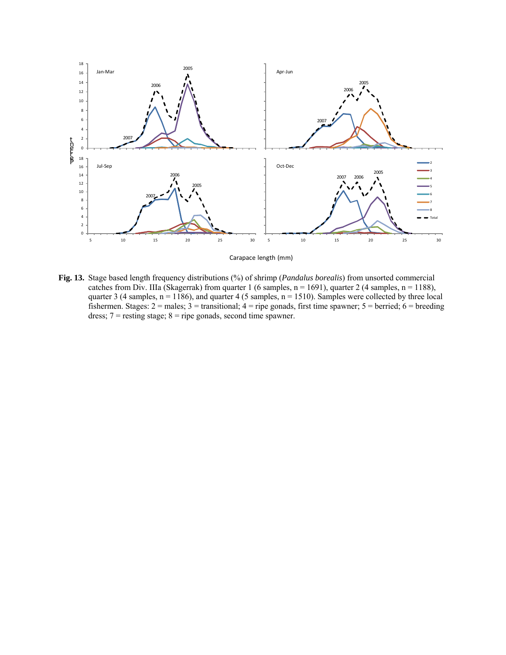![](_page_21_Figure_0.jpeg)

**Fig. 13.** Stage based length frequency distributions (%) of shrimp (*Pandalus borealis*) from unsorted commercial catches from Div. IIIa (Skagerrak) from quarter 1 (6 samples,  $n = 1691$ ), quarter 2 (4 samples,  $n = 1188$ ), quarter 3 (4 samples,  $n = 1186$ ), and quarter 4 (5 samples,  $n = 1510$ ). Samples were collected by three local fishermen. Stages:  $2 =$  males;  $3 =$  transitional;  $4 =$  ripe gonads, first time spawner;  $5 =$  berried;  $6 =$  breeding dress;  $7 =$  resting stage;  $8 =$  ripe gonads, second time spawner.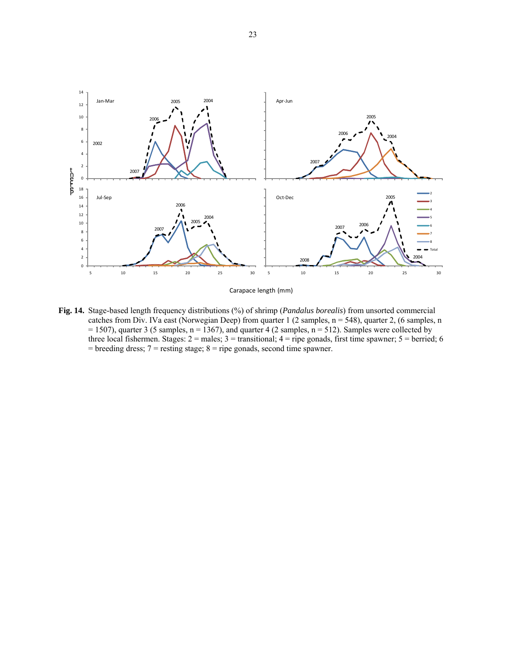![](_page_22_Figure_0.jpeg)

Carapace length (mm)

**Fig. 14.** Stage-based length frequency distributions (%) of shrimp (*Pandalus borealis*) from unsorted commercial catches from Div. IVa east (Norwegian Deep) from quarter 1 (2 samples, n = 548), quarter 2, (6 samples, n  $= 1507$ ), quarter 3 (5 samples, n = 1367), and quarter 4 (2 samples, n = 512). Samples were collected by three local fishermen. Stages:  $2 =$  males;  $3 =$  transitional;  $4 =$  ripe gonads, first time spawner;  $5 =$  berried; 6  $=$  breeding dress;  $7 =$  resting stage;  $8 =$  ripe gonads, second time spawner.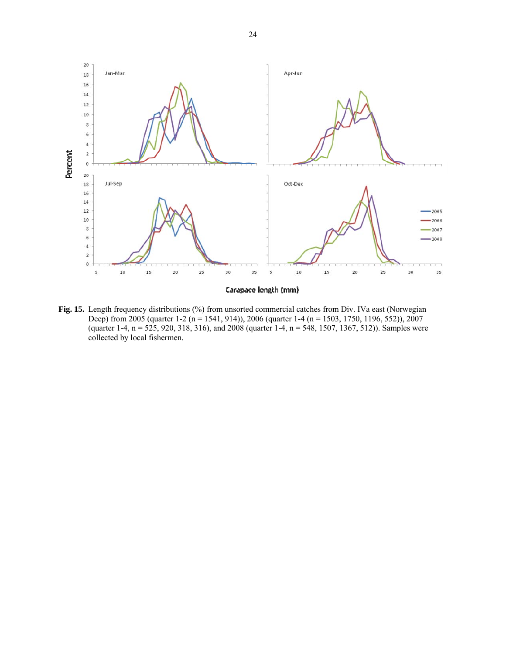![](_page_23_Figure_0.jpeg)

**Fig. 15.** Length frequency distributions (%) from unsorted commercial catches from Div. IVa east (Norwegian Deep) from 2005 (quarter 1-2 (n = 1541, 914)), 2006 (quarter 1-4 (n = 1503, 1750, 1196, 552)), 2007 (quarter 1-4, n = 525, 920, 318, 316), and 2008 (quarter 1-4, n = 548, 1507, 1367, 512)). Samples were collected by local fishermen.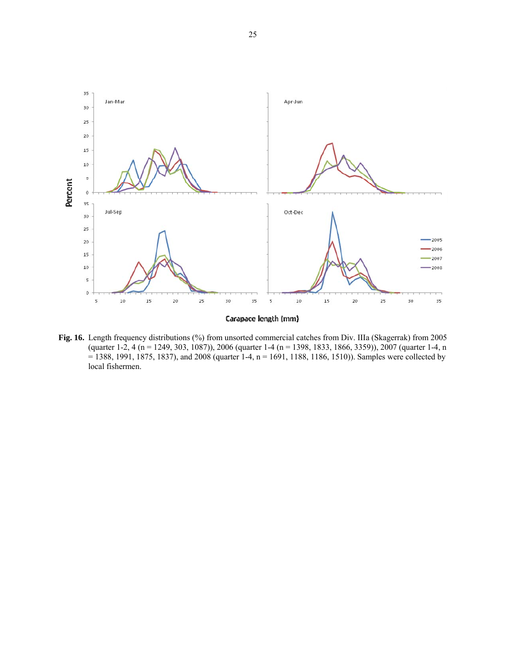![](_page_24_Figure_0.jpeg)

Fig. 16. Length frequency distributions (%) from unsorted commercial catches from Div. IIIa (Skagerrak) from 2005 (quarter 1-2, 4 (n = 1249, 303, 1087)), 2006 (quarter 1-4 (n = 1398, 1833, 1866, 3359)), 2007 (quarter 1-4, n = 1388, 1991, 1875, 1837), and 2008 (quarter 1-4, n = 1691, 1188, 1186, 1510)). Samples were collected by local fishermen.